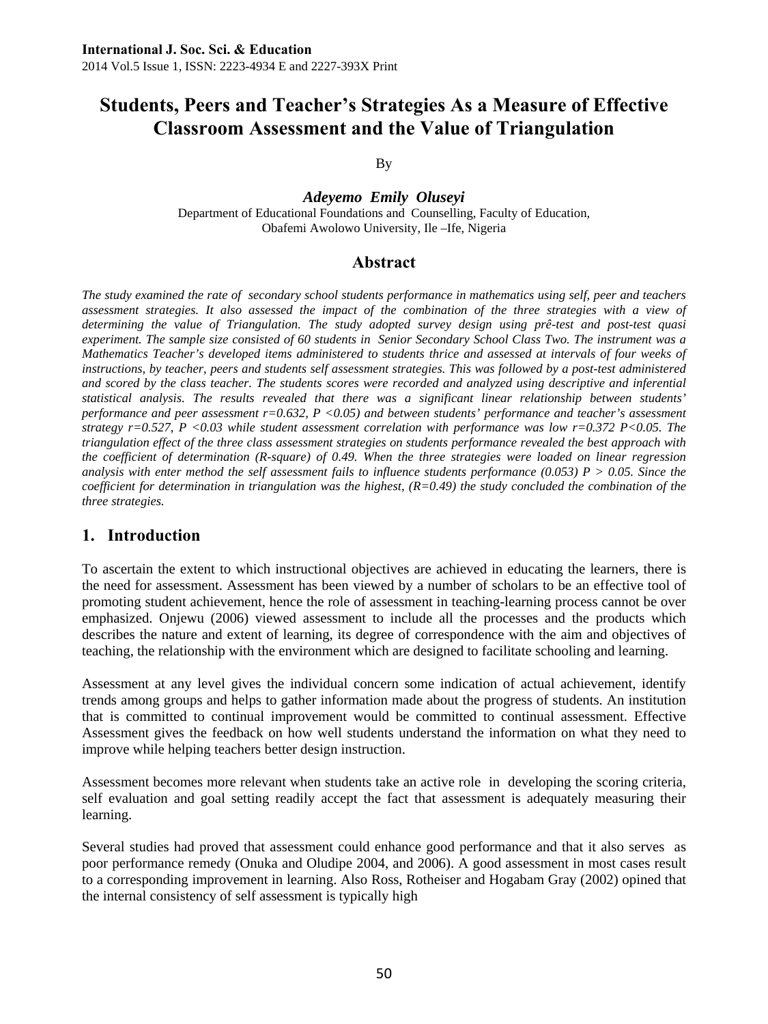# **Students, Peers and Teacher's Strategies As a Measure of Effective Classroom Assessment and the Value of Triangulation**

By

*Adeyemo Emily Oluseyi*  Department of Educational Foundations and Counselling, Faculty of Education, Obafemi Awolowo University, Ile –Ife, Nigeria

### **Abstract**

*The study examined the rate of secondary school students performance in mathematics using self, peer and teachers assessment strategies. It also assessed the impact of the combination of the three strategies with a view of determining the value of Triangulation. The study adopted survey design using prê-test and post-test quasi experiment. The sample size consisted of 60 students in Senior Secondary School Class Two. The instrument was a Mathematics Teacher's developed items administered to students thrice and assessed at intervals of four weeks of instructions, by teacher, peers and students self assessment strategies. This was followed by a post-test administered and scored by the class teacher. The students scores were recorded and analyzed using descriptive and inferential statistical analysis. The results revealed that there was a significant linear relationship between students' performance and peer assessment r=0.632, P <0.05) and between students' performance and teacher's assessment strategy r=0.527, P <0.03 while student assessment correlation with performance was low r=0.372 P<0.05. The triangulation effect of the three class assessment strategies on students performance revealed the best approach with the coefficient of determination (R-square) of 0.49. When the three strategies were loaded on linear regression analysis with enter method the self assessment fails to influence students performance (0.053) P > 0.05. Since the coefficient for determination in triangulation was the highest,*  $(R=0.49)$  *the study concluded the combination of the three strategies.* 

### **1. Introduction**

To ascertain the extent to which instructional objectives are achieved in educating the learners, there is the need for assessment. Assessment has been viewed by a number of scholars to be an effective tool of promoting student achievement, hence the role of assessment in teaching-learning process cannot be over emphasized. Onjewu (2006) viewed assessment to include all the processes and the products which describes the nature and extent of learning, its degree of correspondence with the aim and objectives of teaching, the relationship with the environment which are designed to facilitate schooling and learning.

Assessment at any level gives the individual concern some indication of actual achievement, identify trends among groups and helps to gather information made about the progress of students. An institution that is committed to continual improvement would be committed to continual assessment. Effective Assessment gives the feedback on how well students understand the information on what they need to improve while helping teachers better design instruction.

Assessment becomes more relevant when students take an active role in developing the scoring criteria, self evaluation and goal setting readily accept the fact that assessment is adequately measuring their learning.

Several studies had proved that assessment could enhance good performance and that it also serves as poor performance remedy (Onuka and Oludipe 2004, and 2006). A good assessment in most cases result to a corresponding improvement in learning. Also Ross, Rotheiser and Hogabam Gray (2002) opined that the internal consistency of self assessment is typically high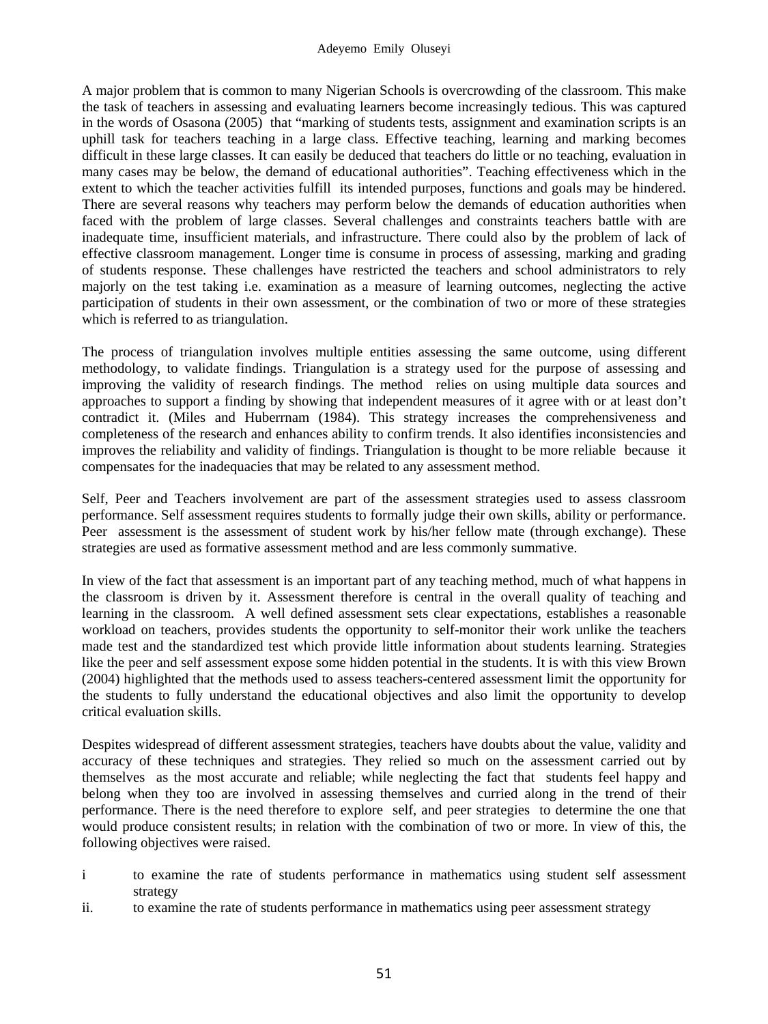A major problem that is common to many Nigerian Schools is overcrowding of the classroom. This make the task of teachers in assessing and evaluating learners become increasingly tedious. This was captured in the words of Osasona (2005) that "marking of students tests, assignment and examination scripts is an uphill task for teachers teaching in a large class. Effective teaching, learning and marking becomes difficult in these large classes. It can easily be deduced that teachers do little or no teaching, evaluation in many cases may be below, the demand of educational authorities". Teaching effectiveness which in the extent to which the teacher activities fulfill its intended purposes, functions and goals may be hindered. There are several reasons why teachers may perform below the demands of education authorities when faced with the problem of large classes. Several challenges and constraints teachers battle with are inadequate time, insufficient materials, and infrastructure. There could also by the problem of lack of effective classroom management. Longer time is consume in process of assessing, marking and grading of students response. These challenges have restricted the teachers and school administrators to rely majorly on the test taking i.e. examination as a measure of learning outcomes, neglecting the active participation of students in their own assessment, or the combination of two or more of these strategies which is referred to as triangulation.

The process of triangulation involves multiple entities assessing the same outcome, using different methodology, to validate findings. Triangulation is a strategy used for the purpose of assessing and improving the validity of research findings. The method relies on using multiple data sources and approaches to support a finding by showing that independent measures of it agree with or at least don't contradict it. (Miles and Huberrnam (1984). This strategy increases the comprehensiveness and completeness of the research and enhances ability to confirm trends. It also identifies inconsistencies and improves the reliability and validity of findings. Triangulation is thought to be more reliable because it compensates for the inadequacies that may be related to any assessment method.

Self, Peer and Teachers involvement are part of the assessment strategies used to assess classroom performance. Self assessment requires students to formally judge their own skills, ability or performance. Peer assessment is the assessment of student work by his/her fellow mate (through exchange). These strategies are used as formative assessment method and are less commonly summative.

In view of the fact that assessment is an important part of any teaching method, much of what happens in the classroom is driven by it. Assessment therefore is central in the overall quality of teaching and learning in the classroom. A well defined assessment sets clear expectations, establishes a reasonable workload on teachers, provides students the opportunity to self-monitor their work unlike the teachers made test and the standardized test which provide little information about students learning. Strategies like the peer and self assessment expose some hidden potential in the students. It is with this view Brown (2004) highlighted that the methods used to assess teachers-centered assessment limit the opportunity for the students to fully understand the educational objectives and also limit the opportunity to develop critical evaluation skills.

Despites widespread of different assessment strategies, teachers have doubts about the value, validity and accuracy of these techniques and strategies. They relied so much on the assessment carried out by themselves as the most accurate and reliable; while neglecting the fact that students feel happy and belong when they too are involved in assessing themselves and curried along in the trend of their performance. There is the need therefore to explore self, and peer strategies to determine the one that would produce consistent results; in relation with the combination of two or more. In view of this, the following objectives were raised.

- i to examine the rate of students performance in mathematics using student self assessment strategy
- ii. to examine the rate of students performance in mathematics using peer assessment strategy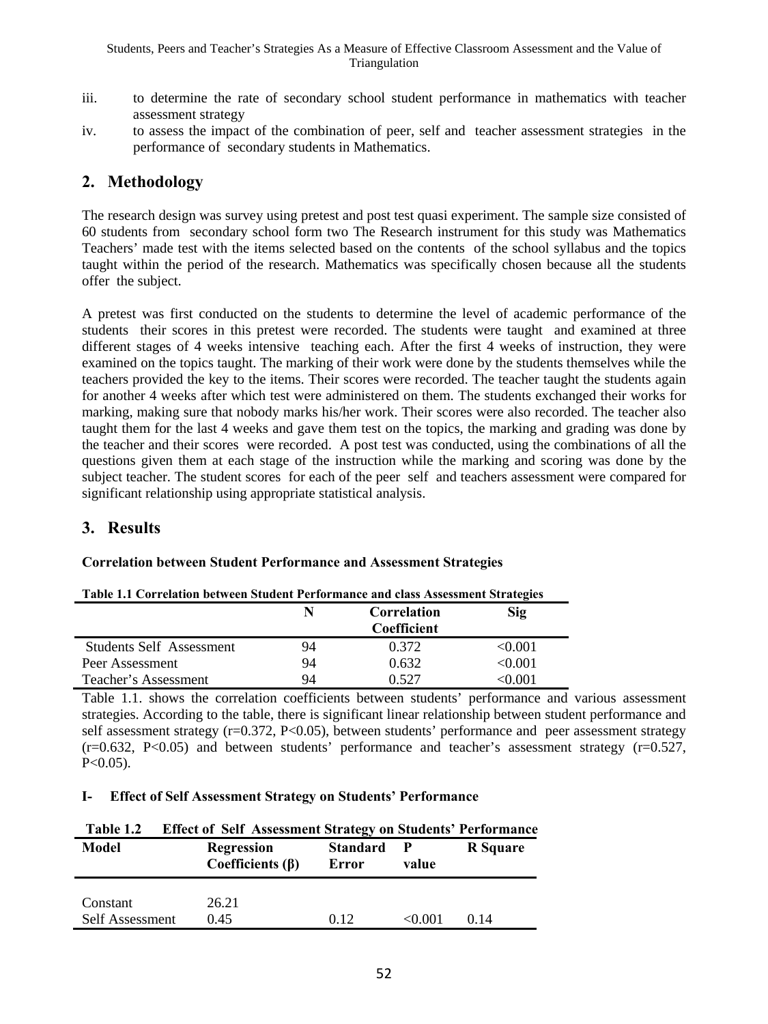- iii. to determine the rate of secondary school student performance in mathematics with teacher assessment strategy
- iv. to assess the impact of the combination of peer, self and teacher assessment strategies in the performance of secondary students in Mathematics.

## **2. Methodology**

The research design was survey using pretest and post test quasi experiment. The sample size consisted of 60 students from secondary school form two The Research instrument for this study was Mathematics Teachers' made test with the items selected based on the contents of the school syllabus and the topics taught within the period of the research. Mathematics was specifically chosen because all the students offer the subject.

A pretest was first conducted on the students to determine the level of academic performance of the students their scores in this pretest were recorded. The students were taught and examined at three different stages of 4 weeks intensive teaching each. After the first 4 weeks of instruction, they were examined on the topics taught. The marking of their work were done by the students themselves while the teachers provided the key to the items. Their scores were recorded. The teacher taught the students again for another 4 weeks after which test were administered on them. The students exchanged their works for marking, making sure that nobody marks his/her work. Their scores were also recorded. The teacher also taught them for the last 4 weeks and gave them test on the topics, the marking and grading was done by the teacher and their scores were recorded. A post test was conducted, using the combinations of all the questions given them at each stage of the instruction while the marking and scoring was done by the subject teacher. The student scores for each of the peer self and teachers assessment were compared for significant relationship using appropriate statistical analysis.

## **3. Results**

### **Correlation between Student Performance and Assessment Strategies**

| Table 1.1 Correlation between student I erformance and class Assessment strategies |    |             |         |  |  |
|------------------------------------------------------------------------------------|----|-------------|---------|--|--|
|                                                                                    |    | Correlation |         |  |  |
|                                                                                    |    | Coefficient |         |  |  |
| <b>Students Self Assessment</b>                                                    | 94 | 0.372       | < 0.001 |  |  |
| Peer Assessment                                                                    | 94 | 0.632       | < 0.001 |  |  |
| Teacher's Assessment                                                               | 94 | 0.527       | 100.0⊙  |  |  |

|  |  |  | Table 1.1 Correlation between Student Performance and class Assessment Strategies |
|--|--|--|-----------------------------------------------------------------------------------|
|  |  |  |                                                                                   |

Table 1.1. shows the correlation coefficients between students' performance and various assessment strategies. According to the table, there is significant linear relationship between student performance and self assessment strategy (r=0.372, P<0.05), between students' performance and peer assessment strategy  $(r=0.632, P<0.05)$  and between students' performance and teacher's assessment strategy  $(r=0.527, P<sub>0.05</sub>)$  $P<0.05$ ).

#### **I- Effect of Self Assessment Strategy on Students' Performance**

| Table 1.2       | <b>Effect of Self Assessment Strategy on Students' Performance</b> |                          |        |          |
|-----------------|--------------------------------------------------------------------|--------------------------|--------|----------|
| Model           | <b>Regression</b><br>Coefficients $(\beta)$                        | <b>Standard</b><br>Error |        | R Square |
|                 |                                                                    |                          |        |          |
| Constant        | 26.21                                                              |                          |        |          |
| Self Assessment | 0.45                                                               | 0.12                     | <0.001 | 0.14     |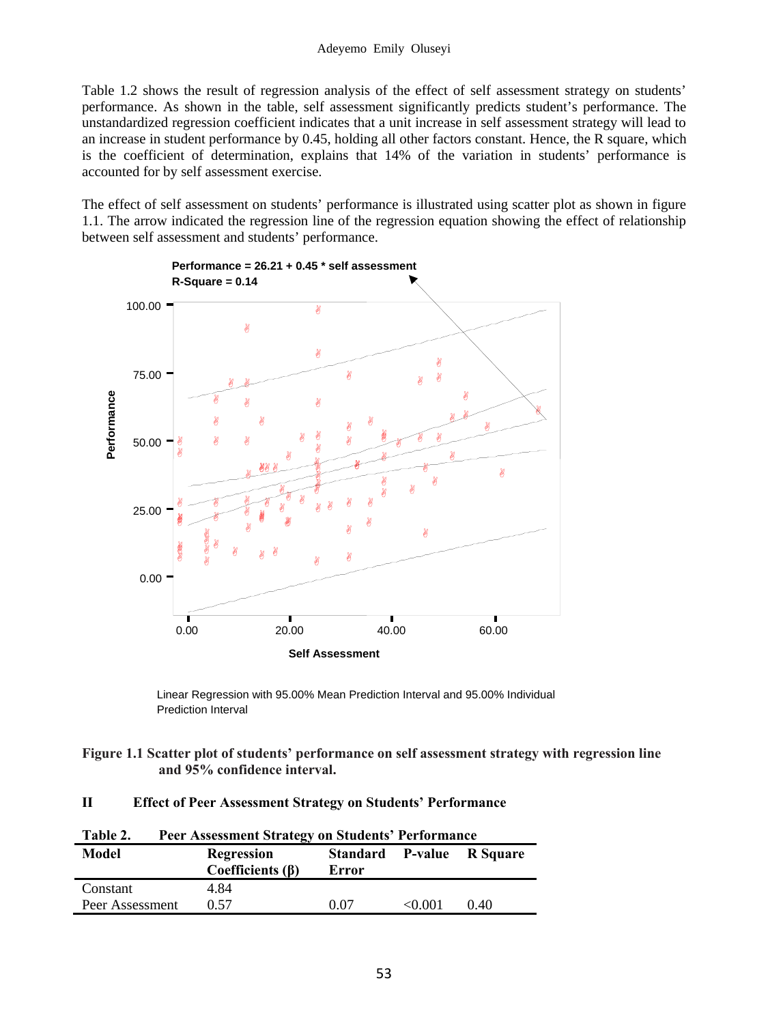Table 1.2 shows the result of regression analysis of the effect of self assessment strategy on students' performance. As shown in the table, self assessment significantly predicts student's performance. The unstandardized regression coefficient indicates that a unit increase in self assessment strategy will lead to an increase in student performance by 0.45, holding all other factors constant. Hence, the R square, which is the coefficient of determination, explains that 14% of the variation in students' performance is accounted for by self assessment exercise.

The effect of self assessment on students' performance is illustrated using scatter plot as shown in figure 1.1. The arrow indicated the regression line of the regression equation showing the effect of relationship between self assessment and students' performance.



Linear Regression with 95.00% Mean Prediction Interval and 95.00% Individual Prediction Interval

**Figure 1.1 Scatter plot of students' performance on self assessment strategy with regression line and 95% confidence interval.**

#### **II Effect of Peer Assessment Strategy on Students' Performance**

| Table 2.        | <b>Peer Assessment Strategy on Students' Performance</b> |       |        |                           |  |  |
|-----------------|----------------------------------------------------------|-------|--------|---------------------------|--|--|
| Model           | <b>Regression</b><br>Coefficients $(\beta)$              | Error |        | Standard P-value R Square |  |  |
| Constant        | 4.84                                                     |       |        |                           |  |  |
| Peer Assessment | 0.57                                                     | 0.07  | <0.001 | 0.40                      |  |  |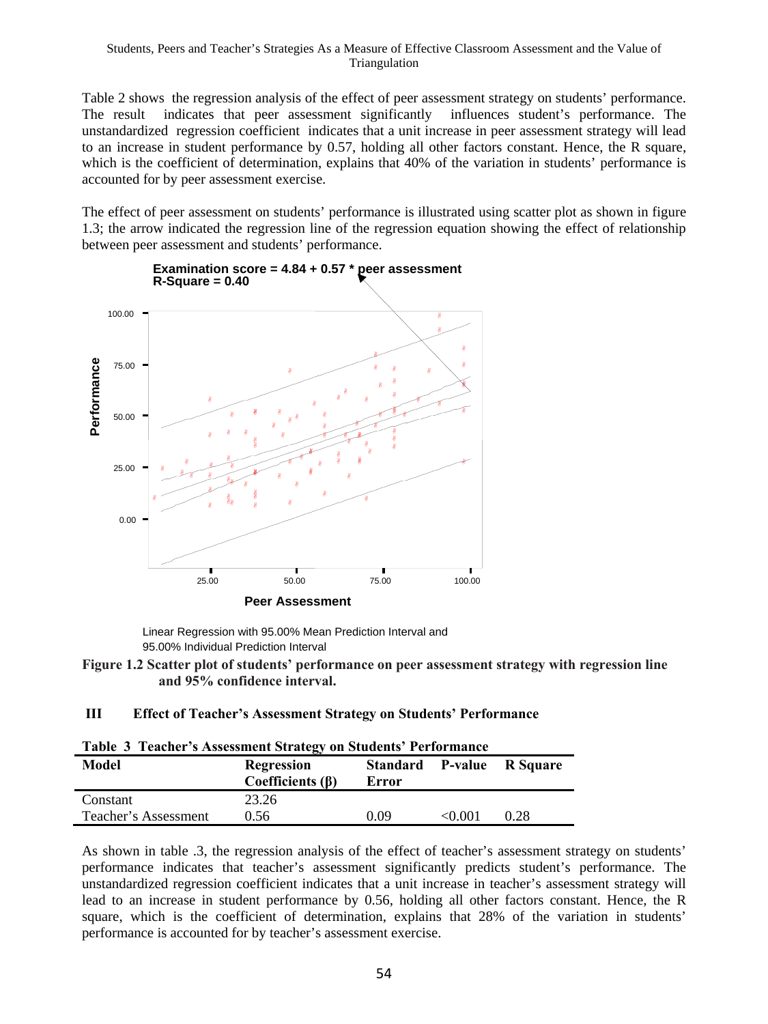Table 2 shows the regression analysis of the effect of peer assessment strategy on students' performance. The result indicates that peer assessment significantly influences student's performance. The unstandardized regression coefficient indicates that a unit increase in peer assessment strategy will lead to an increase in student performance by 0.57, holding all other factors constant. Hence, the R square, which is the coefficient of determination, explains that 40% of the variation in students' performance is accounted for by peer assessment exercise.

The effect of peer assessment on students' performance is illustrated using scatter plot as shown in figure 1.3; the arrow indicated the regression line of the regression equation showing the effect of relationship between peer assessment and students' performance.





Linear Regression with 95.00% Mean Prediction Interval and 95.00% Individual Prediction Interval

#### **Figure 1.2 Scatter plot of students' performance on peer assessment strategy with regression line and 95% confidence interval.**

#### **III Effect of Teacher's Assessment Strategy on Students' Performance**

| Table 3 Teacher's Assessment Strategy on Students' Performance |                                |       |        |                           |  |  |
|----------------------------------------------------------------|--------------------------------|-------|--------|---------------------------|--|--|
| Model                                                          | Regression<br>Coefficients (β) | Error |        | Standard P-value R Square |  |  |
| Constant                                                       | 23.26                          |       |        |                           |  |  |
| Teacher's Assessment                                           | 0.56                           | 0.09  | <0.001 | 0.28                      |  |  |

|  |  | Table 3 Teacher's Assessment Strategy on Students' Performance |
|--|--|----------------------------------------------------------------|
|  |  |                                                                |

As shown in table .3, the regression analysis of the effect of teacher's assessment strategy on students' performance indicates that teacher's assessment significantly predicts student's performance. The unstandardized regression coefficient indicates that a unit increase in teacher's assessment strategy will lead to an increase in student performance by 0.56, holding all other factors constant. Hence, the R square, which is the coefficient of determination, explains that 28% of the variation in students' performance is accounted for by teacher's assessment exercise.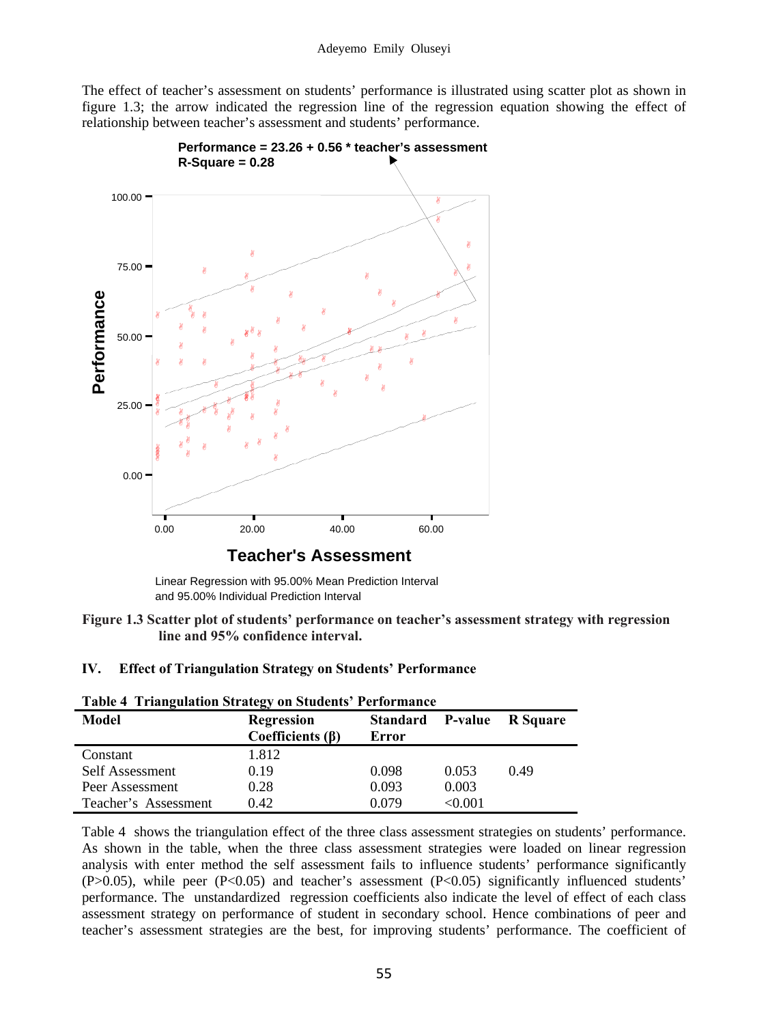The effect of teacher's assessment on students' performance is illustrated using scatter plot as shown in figure 1.3; the arrow indicated the regression line of the regression equation showing the effect of relationship between teacher's assessment and students' performance.





Linear Regression with 95.00% Mean Prediction Interval and 95.00% Individual Prediction Interval

**Figure 1.3 Scatter plot of students' performance on teacher's assessment strategy with regression line and 95% confidence interval.**

#### **IV. Effect of Triangulation Strategy on Students' Performance**

| Table 1 Triangulation Strategy on Stadents Terrormance |                                             |                          |         |                 |  |  |
|--------------------------------------------------------|---------------------------------------------|--------------------------|---------|-----------------|--|--|
| Model                                                  | <b>Regression</b><br>Coefficients $(\beta)$ | <b>Standard</b><br>Error | P-value | <b>R</b> Square |  |  |
| Constant                                               | 1.812                                       |                          |         |                 |  |  |
| Self Assessment                                        | 0.19                                        | 0.098                    | 0.053   | 0.49            |  |  |
| Peer Assessment                                        | 0.28                                        | 0.093                    | 0.003   |                 |  |  |
| Teacher's Assessment                                   | 0.42                                        | 0.079                    | < 0.001 |                 |  |  |

**Table 4 Triangulation Strategy on Students' Performance** 

Table 4 shows the triangulation effect of the three class assessment strategies on students' performance. As shown in the table, when the three class assessment strategies were loaded on linear regression analysis with enter method the self assessment fails to influence students' performance significantly  $(P>0.05)$ , while peer  $(P<0.05)$  and teacher's assessment  $(P<0.05)$  significantly influenced students' performance. The unstandardized regression coefficients also indicate the level of effect of each class assessment strategy on performance of student in secondary school. Hence combinations of peer and teacher's assessment strategies are the best, for improving students' performance. The coefficient of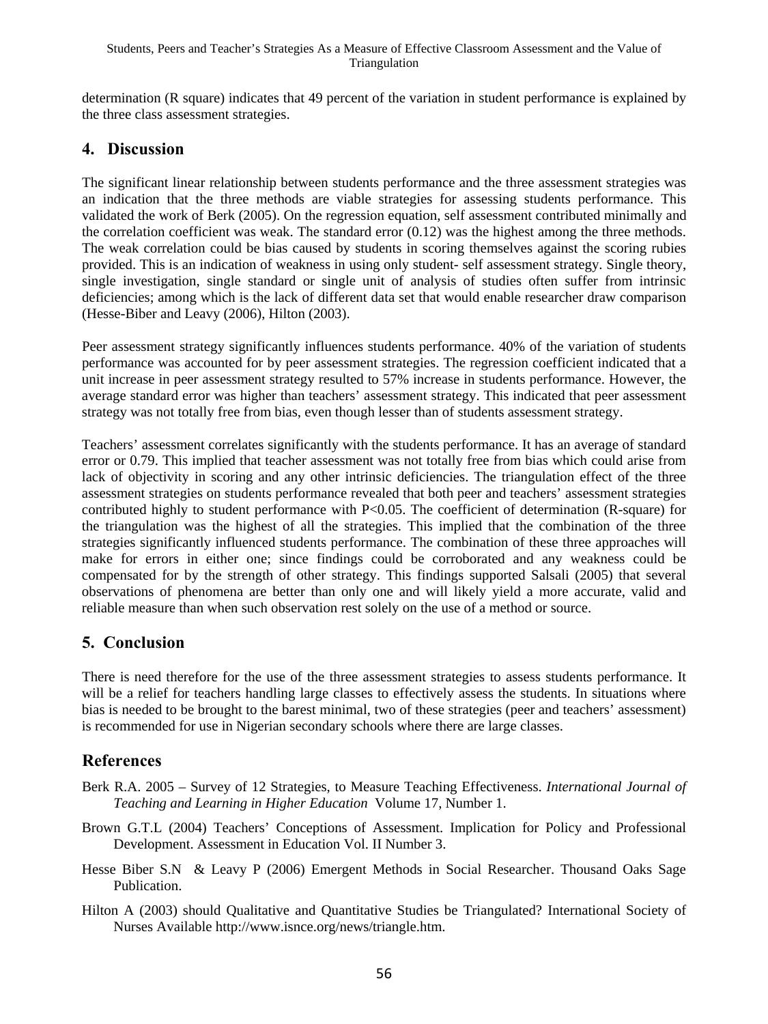determination (R square) indicates that 49 percent of the variation in student performance is explained by the three class assessment strategies.

## **4. Discussion**

The significant linear relationship between students performance and the three assessment strategies was an indication that the three methods are viable strategies for assessing students performance. This validated the work of Berk (2005). On the regression equation, self assessment contributed minimally and the correlation coefficient was weak. The standard error  $(0.12)$  was the highest among the three methods. The weak correlation could be bias caused by students in scoring themselves against the scoring rubies provided. This is an indication of weakness in using only student- self assessment strategy. Single theory, single investigation, single standard or single unit of analysis of studies often suffer from intrinsic deficiencies; among which is the lack of different data set that would enable researcher draw comparison (Hesse-Biber and Leavy (2006), Hilton (2003).

Peer assessment strategy significantly influences students performance. 40% of the variation of students performance was accounted for by peer assessment strategies. The regression coefficient indicated that a unit increase in peer assessment strategy resulted to 57% increase in students performance. However, the average standard error was higher than teachers' assessment strategy. This indicated that peer assessment strategy was not totally free from bias, even though lesser than of students assessment strategy.

Teachers' assessment correlates significantly with the students performance. It has an average of standard error or 0.79. This implied that teacher assessment was not totally free from bias which could arise from lack of objectivity in scoring and any other intrinsic deficiencies. The triangulation effect of the three assessment strategies on students performance revealed that both peer and teachers' assessment strategies contributed highly to student performance with P<0.05. The coefficient of determination (R-square) for the triangulation was the highest of all the strategies. This implied that the combination of the three strategies significantly influenced students performance. The combination of these three approaches will make for errors in either one; since findings could be corroborated and any weakness could be compensated for by the strength of other strategy. This findings supported Salsali (2005) that several observations of phenomena are better than only one and will likely yield a more accurate, valid and reliable measure than when such observation rest solely on the use of a method or source.

# **5. Conclusion**

There is need therefore for the use of the three assessment strategies to assess students performance. It will be a relief for teachers handling large classes to effectively assess the students. In situations where bias is needed to be brought to the barest minimal, two of these strategies (peer and teachers' assessment) is recommended for use in Nigerian secondary schools where there are large classes.

# **References**

- Berk R.A. 2005 Survey of 12 Strategies, to Measure Teaching Effectiveness. *International Journal of Teaching and Learning in Higher Education* Volume 17, Number 1.
- Brown G.T.L (2004) Teachers' Conceptions of Assessment. Implication for Policy and Professional Development. Assessment in Education Vol. II Number 3.
- Hesse Biber S.N & Leavy P (2006) Emergent Methods in Social Researcher. Thousand Oaks Sage Publication.
- Hilton A (2003) should Qualitative and Quantitative Studies be Triangulated? International Society of Nurses Available http://www.isnce.org/news/triangle.htm.